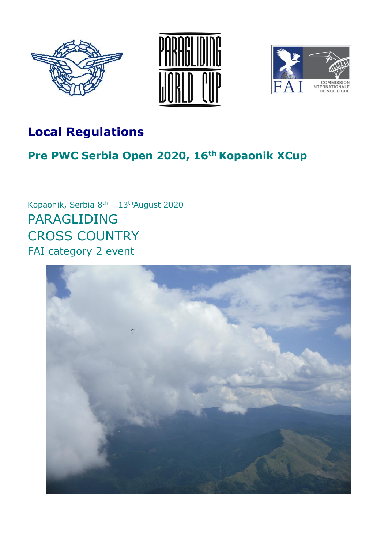





# **Local Regulations**

# **Pre PWC Serbia Open 2020, 16th Kopaonik XCup**

Kopaonik, Serbia 8<sup>th</sup> - 13<sup>th</sup>August 2020 PARAGLIDING CROSS COUNTRY FAI category 2 event

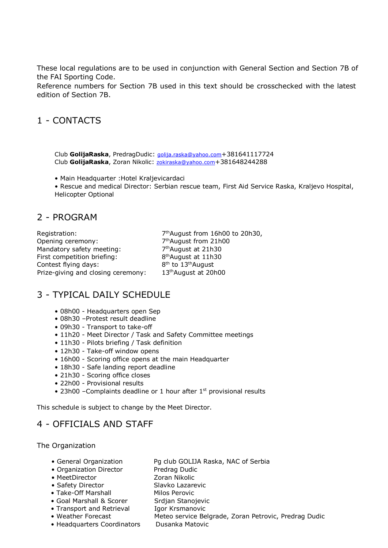These local regulations are to be used in conjunction with General Section and Section 7B of the FAI Sporting Code.

Reference numbers for Section 7B used in this text should be crosschecked with the latest edition of Section 7B.

#### 1 - CONTACTS

Club **GolijaRaska**, PredragDudic: [golija.raska@yahoo.com](mailto:golija.raska@yahoo.com)+381641117724 Club **GolijaRaska**, Zoran Nikolic: [zokiraska@yahoo.com](mailto:zokiraska@yahoo.com)+381648244288

• Main Headquarter :Hotel Kraljevicardaci

• Rescue and medical Director: Serbian rescue team, First Aid Service Raska, Kraljevo Hospital, Helicopter Optional

#### 2 - PROGRAM

Registration: Opening ceremony: 7 Mandatory safety meeting: 7 First competition briefing: Contest flying days: Prize-giving and closing ceremony: 7<sup>th</sup>August from 16h00 to 20h30, 7<sup>th</sup>August from 21h00 7<sup>th</sup>August at 21h30 8<sup>th</sup>August at 11h30 <sup>th</sup> to 13<sup>th</sup>August 13<sup>th</sup>August at 20h00

# 3 - TYPICAL DAILY SCHEDULE

- 08h00 Headquarters open Sep
- 08h30 –Protest result deadline
- 09h30 Transport to take-off
- 11h20 Meet Director / Task and Safety Committee meetings
- 11h30 Pilots briefing / Task definition
- 12h30 Take-off window opens
- 16h00 Scoring office opens at the main Headquarter
- 18h30 Safe landing report deadline
- 21h30 Scoring office closes
- 22h00 Provisional results
- 23h00 Complaints deadline or 1 hour after 1<sup>st</sup> provisional results

This schedule is subject to change by the Meet Director.

### 4 - OFFICIALS AND STAFF

The Organization

- General Organization Pg club GOLIJA Raska, NAC of Serbia
- Organization Director Predrag Dudic
- MeetDirector **Zoran Nikolic**
- 
- 
- Take-Off Marshall Milos Perovic
- Goal Marshall & Scorer Srdjan Stanojevic
- Transport and Retrieval Igor Krsmanovic
- 
- Headquarters Coordinators Dusanka Matovic

- 
- Safety Director Slavko Lazarevic
	-
	-
	-
	-
- Weather Forecast Meteo service Belgrade, Zoran Petrovic, Predrag Dudic
	-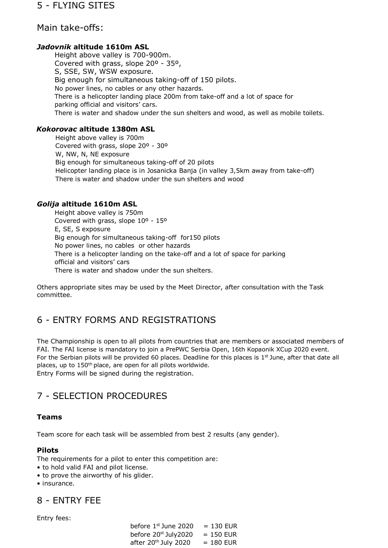#### Main take-offs:

#### *Jadovnik* **altitude 1610m ASL**

Height above valley is 700-900m. Covered with grass, slope 20º - 35º, S, SSE, SW, WSW exposure. Big enough for simultaneous taking-off of 150 pilots. No power lines, no cables or any other hazards. There is a helicopter landing place 200m from take-off and a lot of space for parking official and visitors' cars. There is water and shadow under the sun shelters and wood, as well as mobile toilets.

#### *Kokorovac* **altitude 1380m ASL**

Height above valley is 700m Covered with grass, slope 20º - 30º W, NW, N, NE exposure Big enough for simultaneous taking-off of 20 pilots Helicopter landing place is in Josanicka Banja (in valley 3,5km away from take-off) There is water and shadow under the sun shelters and wood

#### *Golija* **altitude 1610m ASL**

Height above valley is 750m Covered with grass, slope 10º - 15º E, SE, S exposure Big enough for simultaneous taking-off for150 pilots No power lines, no cables or other hazards There is a helicopter landing on the take-off and a lot of space for parking official and visitors' cars There is water and shadow under the sun shelters.

Others appropriate sites may be used by the Meet Director, after consultation with the Task committee.

# 6 - ENTRY FORMS AND REGISTRATIONS

The Championship is open to all pilots from countries that are members or associated members of FAI. The FAI license is mandatory to join a PrePWC Serbia Open, 16th Kopaonik XCup 2020 event. For the Serbian pilots will be provided 60 places. Deadline for this places is  $1<sup>st</sup>$  June, after that date all places, up to 150<sup>th</sup> place, are open for all pilots worldwide. Entry Forms will be signed during the registration.

# 7 - SELECTION PROCEDURES

#### **Teams**

Team score for each task will be assembled from best 2 results (any gender).

#### **Pilots**

The requirements for a pilot to enter this competition are:

- to hold valid FAI and pilot license.
- to prove the airworthy of his glider.
- insurance.

#### 8 - ENTRY FEE

Entry fees:

| before 1st June 2020             | $= 130$ EUR |
|----------------------------------|-------------|
| before 20 <sup>st</sup> July2020 | $= 150$ EUR |
| after 20 <sup>th</sup> July 2020 | $= 180$ EUR |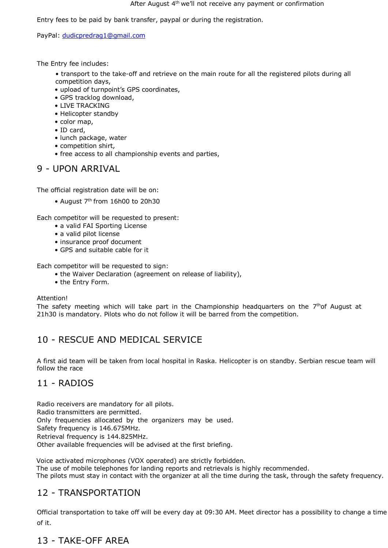Entry fees to be paid by bank transfer, paypal or during the registration.

PayPal: [dudicpredrag1@gmail.com](mailto:dudicpredrag1@gmail.com)

The Entry fee includes:

- transport to the take-off and retrieve on the main route for all the registered pilots during all competition days,
- upload of turnpoint's GPS coordinates,
- GPS tracklog download,
- LIVE TRACKING
- Helicopter standby
- color map,
- ID card,
- lunch package, water
- competition shirt,
- free access to all championship events and parties,

# 9 - UPON ARRIVAL

The official registration date will be on:

• August 7<sup>th</sup> from 16h00 to 20h30

Each competitor will be requested to present:

- a valid FAI Sporting License
- a valid pilot license
- insurance proof document
- GPS and suitable cable for it

Each competitor will be requested to sign:

- the Waiver Declaration (agreement on release of liability),
- the Entry Form.

#### Attention!

The safety meeting which will take part in the Championship headquarters on the 7<sup>th</sup>of August at 21h30 is mandatory. Pilots who do not follow it will be barred from the competition.

# 10 - RESCUE AND MEDICAL SERVICE

A first aid team will be taken from local hospital in Raska. Helicopter is on standby. Serbian rescue team will follow the race

# 11 - RADIOS

Radio receivers are mandatory for all pilots. Radio transmitters are permitted. Only frequencies allocated by the organizers may be used. Safety frequency is 146.675MHz. Retrieval frequency is 144.825MHz. Other available frequencies will be advised at the first briefing.

Voice activated microphones (VOX operated) are strictly forbidden. The use of mobile telephones for landing reports and retrievals is highly recommended. The pilots must stay in contact with the organizer at all the time during the task, through the safety frequency.

# 12 - TRANSPORTATION

Official transportation to take off will be every day at 09:30 AM. Meet director has a possibility to change a time of it.

# 13 - TAKE-OFF AREA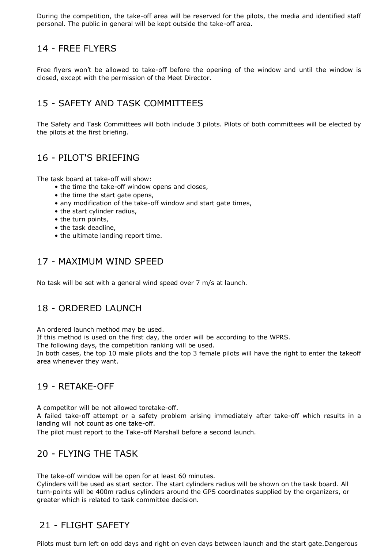During the competition, the take-off area will be reserved for the pilots, the media and identified staff personal. The public in general will be kept outside the take-off area.

### 14 - FREE FLYERS

Free flyers won't be allowed to take-off before the opening of the window and until the window is closed, except with the permission of the Meet Director.

# 15 - SAFETY AND TASK COMMITTEES

The Safety and Task Committees will both include 3 pilots. Pilots of both committees will be elected by the pilots at the first briefing.

# 16 - PILOT'S BRIEFING

The task board at take-off will show:

- the time the take-off window opens and closes,
- the time the start gate opens,
- any modification of the take-off window and start gate times,
- the start cylinder radius,
- the turn points,
- the task deadline,
- the ultimate landing report time.

### 17 - MAXIMUM WIND SPEED

No task will be set with a general wind speed over 7 m/s at launch.

# 18 - ORDERED LAUNCH

An ordered launch method may be used.

If this method is used on the first day, the order will be according to the WPRS.

The following days, the competition ranking will be used.

In both cases, the top 10 male pilots and the top 3 female pilots will have the right to enter the takeoff area whenever they want.

#### 19 - RETAKE-OFF

A competitor will be not allowed toretake-off.

A failed take-off attempt or a safety problem arising immediately after take-off which results in a landing will not count as one take-off.

The pilot must report to the Take-off Marshall before a second launch.

# 20 - FLYING THE TASK

The take-off window will be open for at least 60 minutes.

Cylinders will be used as start sector. The start cylinders radius will be shown on the task board. All turn-points will be 400m radius cylinders around the GPS coordinates supplied by the organizers, or greater which is related to task committee decision.

### 21 - FLIGHT SAFETY

Pilots must turn left on odd days and right on even days between launch and the start gate.Dangerous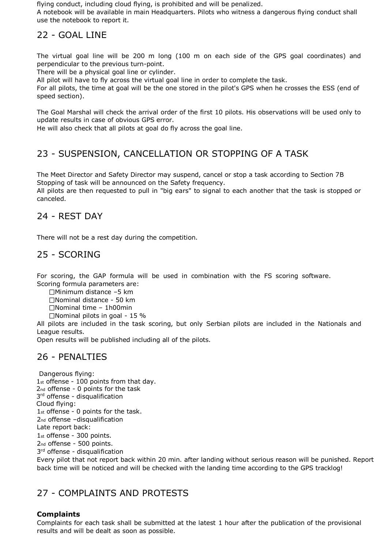flying conduct, including cloud flying, is prohibited and will be penalized.

A notebook will be available in main Headquarters. Pilots who witness a dangerous flying conduct shall use the notebook to report it.

# 22 - GOAL LINE

The virtual goal line will be 200 m long (100 m on each side of the GPS goal coordinates) and perpendicular to the previous turn-point.

There will be a physical goal line or cylinder.

All pilot will have to fly across the virtual goal line in order to complete the task.

For all pilots, the time at goal will be the one stored in the pilot's GPS when he crosses the ESS (end of speed section).

The Goal Marshal will check the arrival order of the first 10 pilots. His observations will be used only to update results in case of obvious GPS error.

He will also check that all pilots at goal do fly across the goal line.

# 23 - SUSPENSION, CANCELLATION OR STOPPING OF A TASK

The Meet Director and Safety Director may suspend, cancel or stop a task according to Section 7B Stopping of task will be announced on the Safety frequency.

All pilots are then requested to pull in "big ears" to signal to each another that the task is stopped or canceled.

#### 24 - REST DAY

There will not be a rest day during the competition.

### 25 - SCORING

For scoring, the GAP formula will be used in combination with the FS scoring software. Scoring formula parameters are:

Minimum distance –5 km

Nominal distance - 50 km

 $\Box$ Nominal time - 1h00min

 $\Box$ Nominal pilots in goal - 15 %

All pilots are included in the task scoring, but only Serbian pilots are included in the Nationals and League results.

Open results will be published including all of the pilots.

### 26 - PENALTIES

Dangerous flying: 1<sub>st</sub> offense - 100 points from that day. 2nd offense - 0 points for the task 3<sup>rd</sup> offense - disqualification Cloud flying: 1st offense - 0 points for the task. 2nd offense –disqualification Late report back: 1st offense - 300 points. 2nd offense - 500 points. 3<sup>rd</sup> offense - disqualification

Every pilot that not report back within 20 min. after landing without serious reason will be punished. Report back time will be noticed and will be checked with the landing time according to the GPS tracklog!

# 27 - COMPLAINTS AND PROTESTS

#### **Complaints**

Complaints for each task shall be submitted at the latest 1 hour after the publication of the provisional results and will be dealt as soon as possible.